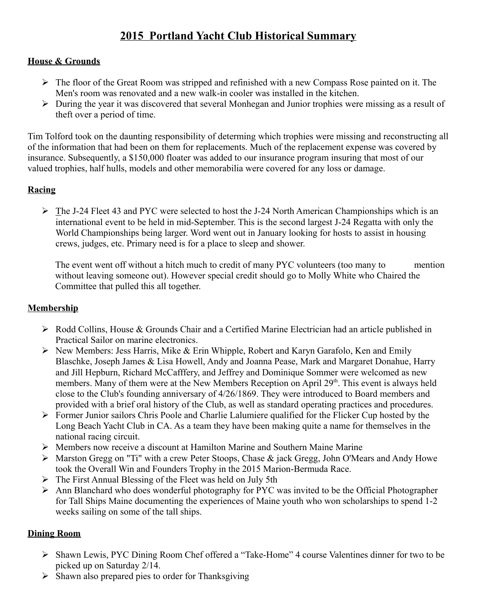# **2015 Portland Yacht Club Historical Summary**

#### **House & Grounds**

- $\triangleright$  The floor of the Great Room was stripped and refinished with a new Compass Rose painted on it. The Men's room was renovated and a new walk-in cooler was installed in the kitchen.
- During the year it was discovered that several Monhegan and Junior trophies were missing as a result of theft over a period of time.

Tim Tolford took on the daunting responsibility of determing which trophies were missing and reconstructing all of the information that had been on them for replacements. Much of the replacement expense was covered by insurance. Subsequently, a \$150,000 floater was added to our insurance program insuring that most of our valued trophies, half hulls, models and other memorabilia were covered for any loss or damage.

### **Racing**

 $\triangleright$  The J-24 Fleet 43 and PYC were selected to host the J-24 North American Championships which is an international event to be held in mid-September. This is the second largest J-24 Regatta with only the World Championships being larger. Word went out in January looking for hosts to assist in housing crews, judges, etc. Primary need is for a place to sleep and shower.

The event went off without a hitch much to credit of many PYC volunteers (too many to mention without leaving someone out). However special credit should go to Molly White who Chaired the Committee that pulled this all together.

#### **Membership**

- Rodd Collins, House & Grounds Chair and a Certified Marine Electrician had an article published in Practical Sailor on marine electronics.
- $\triangleright$  New Members: Jess Harris, Mike & Erin Whipple, Robert and Karyn Garafolo, Ken and Emily Blaschke, Joseph James & Lisa Howell, Andy and Joanna Pease, Mark and Margaret Donahue, Harry and Jill Hepburn, Richard McCafffery, and Jeffrey and Dominique Sommer were welcomed as new members. Many of them were at the New Members Reception on April 29<sup>th</sup>. This event is always held close to the Club's founding anniversary of 4/26/1869. They were introduced to Board members and provided with a brief oral history of the Club, as well as standard operating practices and procedures.
- Former Junior sailors Chris Poole and Charlie Lalumiere qualified for the Flicker Cup hosted by the Long Beach Yacht Club in CA. As a team they have been making quite a name for themselves in the national racing circuit.
- $\triangleright$  Members now receive a discount at Hamilton Marine and Southern Maine Marine
- Marston Gregg on "Ti" with a crew Peter Stoops, Chase & jack Gregg, John O'Mears and Andy Howe took the Overall Win and Founders Trophy in the 2015 Marion-Bermuda Race.
- $\triangleright$  The First Annual Blessing of the Fleet was held on July 5th
- $\triangleright$  Ann Blanchard who does wonderful photography for PYC was invited to be the Official Photographer for Tall Ships Maine documenting the experiences of Maine youth who won scholarships to spend 1-2 weeks sailing on some of the tall ships.

#### **Dining Room**

- Shawn Lewis, PYC Dining Room Chef offered a "Take-Home" 4 course Valentines dinner for two to be picked up on Saturday 2/14.
- $\triangleright$  Shawn also prepared pies to order for Thanksgiving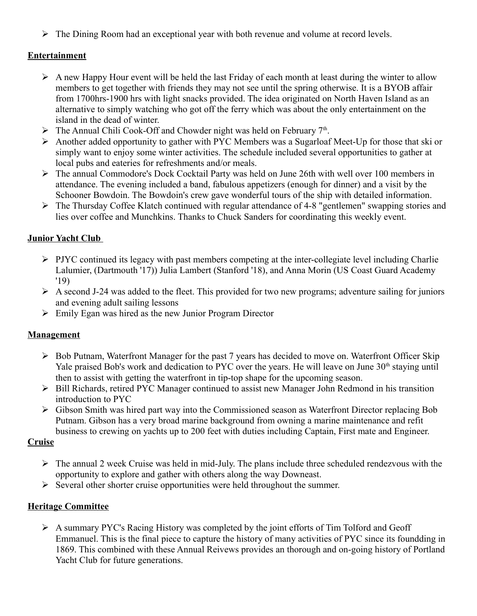$\triangleright$  The Dining Room had an exceptional year with both revenue and volume at record levels.

## **Entertainment**

- $\triangleright$  A new Happy Hour event will be held the last Friday of each month at least during the winter to allow members to get together with friends they may not see until the spring otherwise. It is a BYOB affair from 1700hrs-1900 hrs with light snacks provided. The idea originated on North Haven Island as an alternative to simply watching who got off the ferry which was about the only entertainment on the island in the dead of winter.
- $\triangleright$  The Annual Chili Cook-Off and Chowder night was held on February 7<sup>th</sup>.
- Another added opportunity to gather with PYC Members was a Sugarloaf Meet-Up for those that ski or simply want to enjoy some winter activities. The schedule included several opportunities to gather at local pubs and eateries for refreshments and/or meals.
- The annual Commodore's Dock Cocktail Party was held on June 26th with well over 100 members in attendance. The evening included a band, fabulous appetizers (enough for dinner) and a visit by the Schooner Bowdoin. The Bowdoin's crew gave wonderful tours of the ship with detailed information.
- The Thursday Coffee Klatch continued with regular attendance of 4-8 "gentlemen" swapping stories and lies over coffee and Munchkins. Thanks to Chuck Sanders for coordinating this weekly event.

#### **Junior Yacht Club**

- $\triangleright$  PJYC continued its legacy with past members competing at the inter-collegiate level including Charlie Lalumier, (Dartmouth '17)) Julia Lambert (Stanford '18), and Anna Morin (US Coast Guard Academy '19)
- $\triangleright$  A second J-24 was added to the fleet. This provided for two new programs; adventure sailing for juniors and evening adult sailing lessons
- $\triangleright$  Emily Egan was hired as the new Junior Program Director

#### **Management**

- $\triangleright$  Bob Putnam, Waterfront Manager for the past 7 years has decided to move on. Waterfront Officer Skip Yale praised Bob's work and dedication to PYC over the years. He will leave on June  $30<sup>th</sup>$  staying until then to assist with getting the waterfront in tip-top shape for the upcoming season.
- $\triangleright$  Bill Richards, retired PYC Manager continued to assist new Manager John Redmond in his transition introduction to PYC
- $\triangleright$  Gibson Smith was hired part way into the Commissioned season as Waterfront Director replacing Bob Putnam. Gibson has a very broad marine background from owning a marine maintenance and refit business to crewing on yachts up to 200 feet with duties including Captain, First mate and Engineer.

#### **Cruise**

- $\triangleright$  The annual 2 week Cruise was held in mid-July. The plans include three scheduled rendezvous with the opportunity to explore and gather with others along the way Downeast.
- $\triangleright$  Several other shorter cruise opportunities were held throughout the summer.

#### **Heritage Committee**

 $\triangleright$  A summary PYC's Racing History was completed by the joint efforts of Tim Tolford and Geoff Emmanuel. This is the final piece to capture the history of many activities of PYC since its foundding in 1869. This combined with these Annual Reivews provides an thorough and on-going history of Portland Yacht Club for future generations.